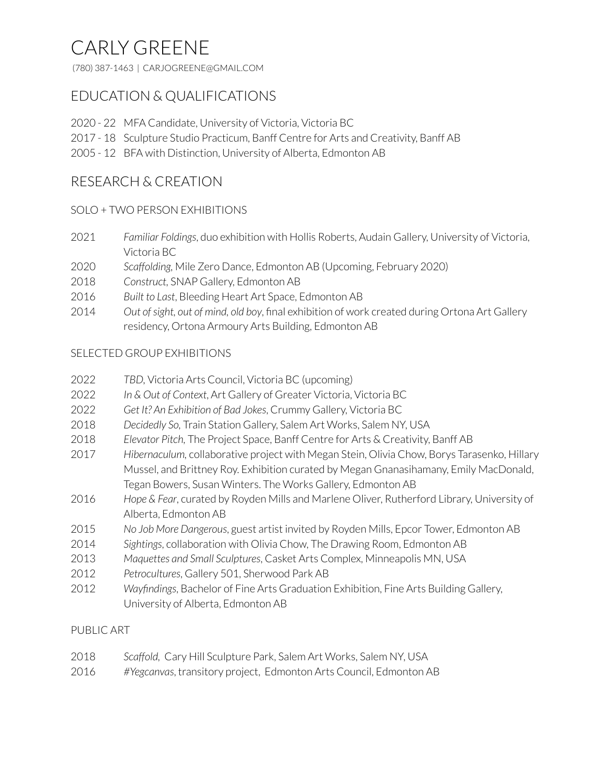# CARLY GREENE

(780) 387-1463 | CARJOGREENE@GMAIL.COM

# EDUCATION & QUALIFICATIONS

- 22 MFA Candidate, University of Victoria, Victoria BC
- 18 Sculpture Studio Practicum, Banff Centre for Arts and Creativity, Banff AB
- 12 BFA with Distinction, University of Alberta, Edmonton AB

## RESEARCH & CREATION

#### SOLO + TWO PERSON EXHIBITIONS

- *Familiar Foldings*, duo exhibition with Hollis Roberts, Audain Gallery, University of Victoria, Victoria BC
- *Scaffolding,* Mile Zero Dance, Edmonton AB (Upcoming, February 2020)
- *Construct,* SNAP Gallery, Edmonton AB
- *Built to Last*, Bleeding Heart Art Space, Edmonton AB
- *Out ofsight, out of mind, old boy*, final exhibition of work created during Ortona Art Gallery residency, Ortona Armoury Arts Building, Edmonton AB

#### SELECTED GROUP EXHIBITIONS

- *TBD,* Victoria Arts Council, Victoria BC (upcoming)
- *In & Out of Context*, Art Gallery of Greater Victoria, Victoria BC
- *Get It? An Exhibition of Bad Jokes*, Crummy Gallery, Victoria BC
- *Decidedly So,* Train Station Gallery, Salem Art Works, Salem NY, USA
- *Elevator Pitch,* The Project Space, Banff Centre for Arts & Creativity, Banff AB
- *Hibernaculum,* collaborative project with Megan Stein, Olivia Chow, Borys Tarasenko, Hillary Mussel, and Brittney Roy. Exhibition curated by Megan Gnanasihamany, Emily MacDonald, Tegan Bowers, Susan Winters. The Works Gallery, Edmonton AB
- *Hope & Fear*, curated by Royden Mills and Marlene Oliver, Rutherford Library, University of Alberta, Edmonton AB
- *No Job More Dangerous*, guest artist invited by Royden Mills, Epcor Tower, Edmonton AB
- *Sightings*, collaboration with Olivia Chow, The Drawing Room, Edmonton AB
- *Maquettes and Small Sculptures*, Casket Arts Complex, Minneapolis MN, USA
- *Petrocultures*, Gallery 501, Sherwood Park AB
- *Wayfindings*, Bachelor of Fine Arts Graduation Exhibition, Fine Arts Building Gallery, University of Alberta, Edmonton AB

#### PUBLIC ART

- *Scaffold,* Cary Hill Sculpture Park, Salem Art Works, Salem NY, USA
- *#Yegcanvas*, transitory project, Edmonton Arts Council, Edmonton AB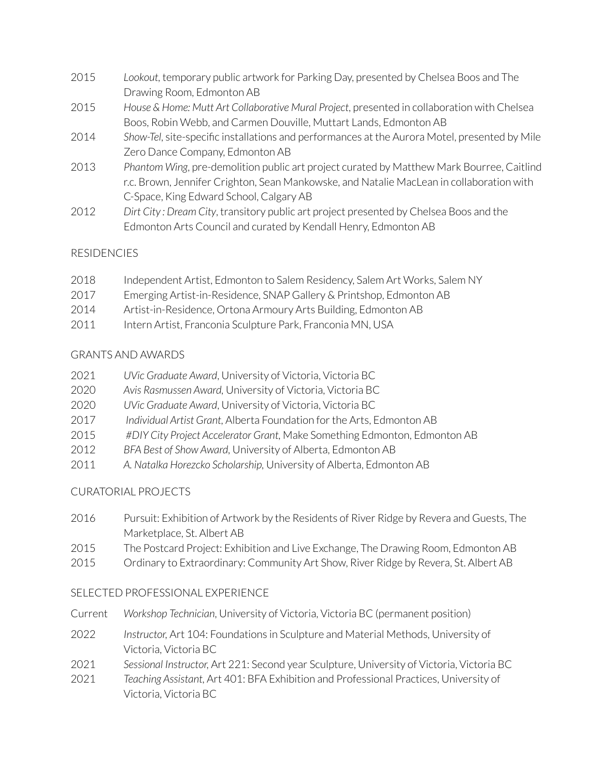- 2015 *Lookout,* temporary public artwork for Parking Day, presented by Chelsea Boos and The Drawing Room, Edmonton AB
- 2015 *House & Home: Mutt Art Collaborative Mural Project*, presented in collaboration with Chelsea Boos, Robin Webb, and Carmen Douville, Muttart Lands, Edmonton AB
- 2014 *Show-Tel*, site-specific installations and performances at the Aurora Motel, presented by Mile Zero Dance Company, Edmonton AB
- 2013 *Phantom Wing*, pre-demolition public art project curated by Matthew Mark Bourree, Caitlind r.c. Brown, Jennifer Crighton, Sean Mankowske, and Natalie MacLean in collaboration with C-Space, King Edward School, Calgary AB
- 2012 *Dirt City : Dream City*, transitory public art project presented by Chelsea Boos and the Edmonton Arts Council and curated by Kendall Henry, Edmonton AB

## RESIDENCIES

- 2018 Independent Artist, Edmonton to Salem Residency, Salem Art Works, Salem NY
- 2017 Emerging Artist-in-Residence, SNAP Gallery & Printshop, Edmonton AB
- 2014 Artist-in-Residence, Ortona Armoury Arts Building, Edmonton AB
- 2011 Intern Artist, Franconia Sculpture Park, Franconia MN, USA

#### GRANTS AND AWARDS

- 2021 *UVic Graduate Award*, University of Victoria, Victoria BC
- 2020 *Avis Rasmussen Award,* University of Victoria, Victoria BC
- 2020 *UVic Graduate Award*, University of Victoria, Victoria BC
- 2017 *Individual Artist Grant,* Alberta Foundation forthe Arts, Edmonton AB
- 2015 *#DIY City Project Accelerator Grant,* Make Something Edmonton, Edmonton AB
- 2012 *BFA Best of Show Award,* University of Alberta, Edmonton AB
- 2011 *A. Natalka Horezcko Scholarship,* University of Alberta, Edmonton AB

## CURATORIAL PROJECTS

- 2016 Pursuit: Exhibition of Artwork by the Residents of River Ridge by Revera and Guests, The Marketplace, St. Albert AB
- 2015 The Postcard Project: Exhibition and Live Exchange, The Drawing Room, Edmonton AB
- 2015 Ordinary to Extraordinary: Community Art Show, River Ridge by Revera, St. Albert AB

## SELECTED PROFESSIONAL EXPERIENCE

- Current *Workshop Technician*, University of Victoria, Victoria BC (permanent position)
- 2022 *Instructor,* Art 104: Foundations in Sculpture and Material Methods, University of Victoria, Victoria BC
- 2021 *Sessional Instructor,* Art 221: Second year Sculpture, University of Victoria, Victoria BC
- 2021 *Teaching Assistant,* Art 401: BFA Exhibition and Professional Practices, University of Victoria, Victoria BC